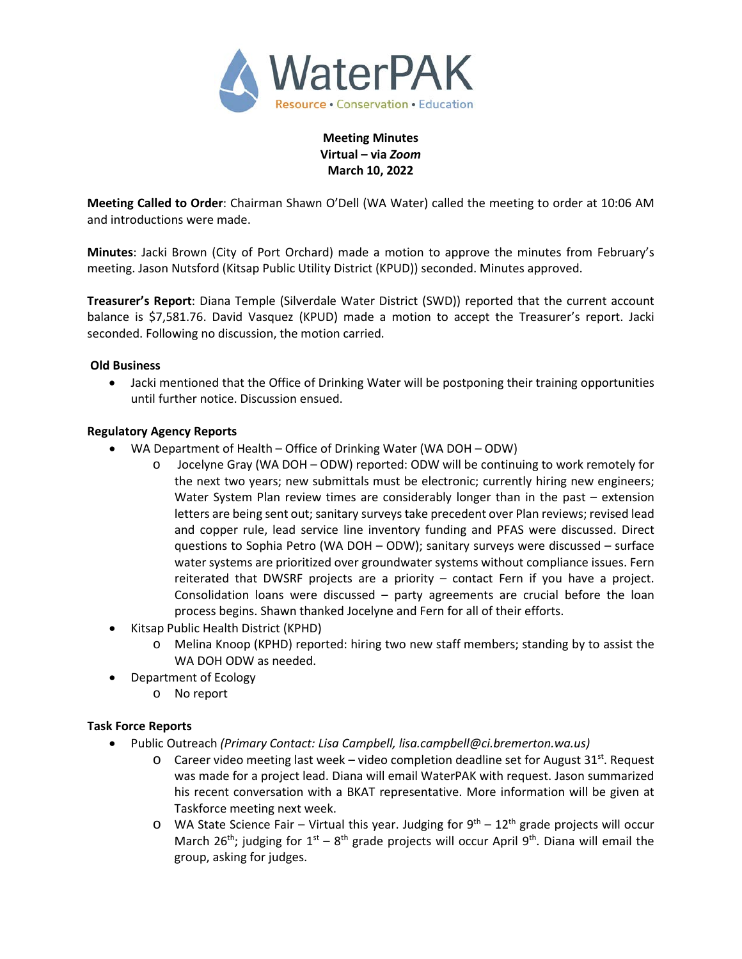

**Meeting Minutes Virtual – via** *Zoom* **March 10, 2022**

**Meeting Called to Order**: Chairman Shawn O'Dell (WA Water) called the meeting to order at 10:06 AM and introductions were made.

**Minutes**: Jacki Brown (City of Port Orchard) made a motion to approve the minutes from February's meeting. Jason Nutsford (Kitsap Public Utility District (KPUD)) seconded. Minutes approved.

**Treasurer's Report**: Diana Temple (Silverdale Water District (SWD)) reported that the current account balance is \$7,581.76. David Vasquez (KPUD) made a motion to accept the Treasurer's report. Jacki seconded. Following no discussion, the motion carried.

## **Old Business**

• Jacki mentioned that the Office of Drinking Water will be postponing their training opportunities until further notice. Discussion ensued.

### **Regulatory Agency Reports**

- WA Department of Health Office of Drinking Water (WA DOH ODW)
	- o Jocelyne Gray (WA DOH ODW) reported: ODW will be continuing to work remotely for the next two years; new submittals must be electronic; currently hiring new engineers; Water System Plan review times are considerably longer than in the past – extension letters are being sent out; sanitary surveys take precedent over Plan reviews; revised lead and copper rule, lead service line inventory funding and PFAS were discussed. Direct questions to Sophia Petro (WA DOH – ODW); sanitary surveys were discussed – surface water systems are prioritized over groundwater systems without compliance issues. Fern reiterated that DWSRF projects are a priority – contact Fern if you have a project. Consolidation loans were discussed – party agreements are crucial before the loan process begins. Shawn thanked Jocelyne and Fern for all of their efforts.
- Kitsap Public Health District (KPHD)
	- o Melina Knoop (KPHD) reported: hiring two new staff members; standing by to assist the WA DOH ODW as needed.
- Department of Ecology
	- o No report

## **Task Force Reports**

- Public Outreach *(Primary Contact: Lisa Campbell, lisa.campbell@ci.bremerton.wa.us)*
	- $\circ$  Career video meeting last week video completion deadline set for August 31st. Request was made for a project lead. Diana will email WaterPAK with request. Jason summarized his recent conversation with a BKAT representative. More information will be given at Taskforce meeting next week.
	- $\circ$  WA State Science Fair Virtual this year. Judging for  $9^{th}$  12<sup>th</sup> grade projects will occur March 26<sup>th</sup>; judging for 1<sup>st</sup> – 8<sup>th</sup> grade projects will occur April 9<sup>th</sup>. Diana will email the group, asking for judges.